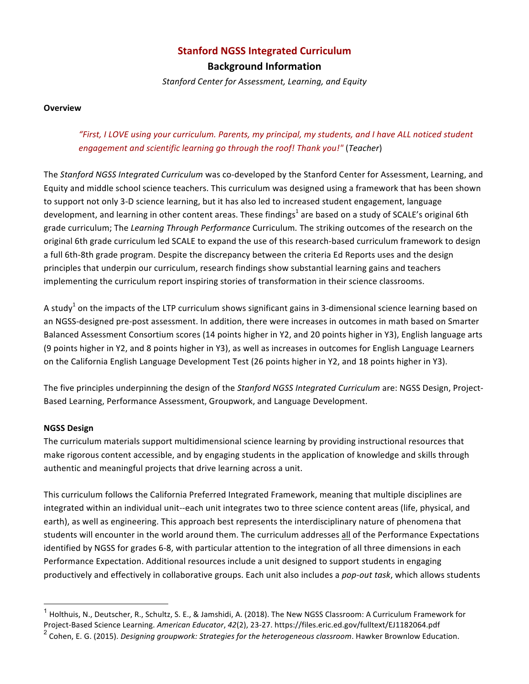## **Stanford NGSS Integrated Curriculum**

### **Background Information**

*Stanford Center for Assessment, Learning, and Equity*

#### **Overview**

## *"First, I LOVE using your curriculum. Parents, my principal, my students, and I have ALL noticed student engagement and scientific learning go through the roof! Thank you!"* (*Teacher*)

The *Stanford NGSS Integrated Curriculum* was co-developed by the Stanford Center for Assessment, Learning, and Equity and middle school science teachers. This curriculum was designed using a framework that has been shown to support not only 3-D science learning, but it has also led to increased student engagement, language development, and learning in other content areas. These findings<sup>1</sup> are based on a study of SCALE's original 6th grade curriculum; The *Learning Through Performance* Curriculum. The striking outcomes of the research on the original 6th grade curriculum led SCALE to expand the use of this research-based curriculum framework to design a full 6th-8th grade program. Despite the discrepancy between the criteria Ed Reports uses and the design principles that underpin our curriculum, research findings show substantial learning gains and teachers implementing the curriculum report inspiring stories of transformation in their science classrooms.

A study<sup>1</sup> on the impacts of the LTP curriculum shows significant gains in 3-dimensional science learning based on an NGSS-designed pre-post assessment. In addition, there were increases in outcomes in math based on Smarter Balanced Assessment Consortium scores (14 points higher in Y2, and 20 points higher in Y3), English language arts (9 points higher in Y2, and 8 points higher in Y3), as well as increases in outcomes for English Language Learners on the California English Language Development Test (26 points higher in Y2, and 18 points higher in Y3).

The five principles underpinning the design of the *Stanford NGSS Integrated Curriculum* are: NGSS Design, Project-Based Learning, Performance Assessment, Groupwork, and Language Development.

### **NGSS Design**

The curriculum materials support multidimensional science learning by providing instructional resources that make rigorous content accessible, and by engaging students in the application of knowledge and skills through authentic and meaningful projects that drive learning across a unit.

This curriculum follows the California Preferred Integrated Framework, meaning that multiple disciplines are integrated within an individual unit--each unit integrates two to three science content areas (life, physical, and earth), as well as engineering. This approach best represents the interdisciplinary nature of phenomena that students will encounter in the world around them. The curriculum addresses all of the Performance Expectations identified by NGSS for grades 6-8, with particular attention to the integration of all three dimensions in each Performance Expectation. Additional resources include a unit designed to support students in engaging productively and effectively in collaborative groups. Each unit also includes a *pop-out task*, which allows students

 $^1$  Holthuis, N., Deutscher, R., Schultz, S. E., & Jamshidi, A. (2018). The New NGSS Classroom: A Curriculum Framework for Project-Based Science Learning. *American Educator*, *42*(2), 23-27. https://files.eric.ed.gov/fulltext/EJ1182064.pdf

<sup>&</sup>lt;sup>2</sup> Cohen, E. G. (2015). *Designing groupwork: Strategies for the heterogeneous classroom*. Hawker Brownlow Education.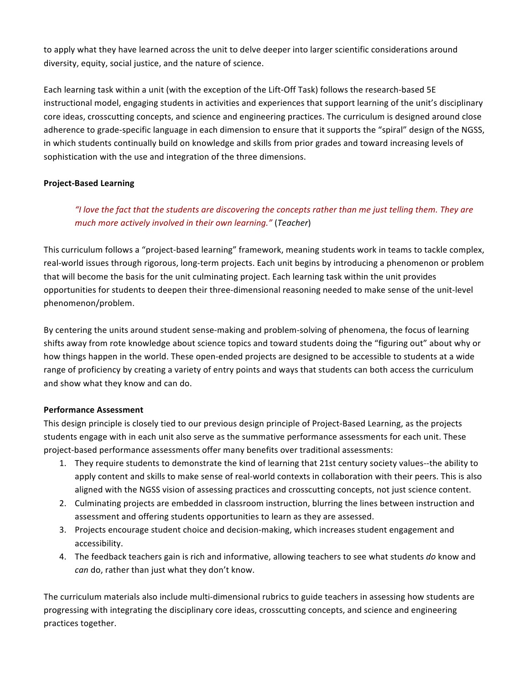to apply what they have learned across the unit to delve deeper into larger scientific considerations around diversity, equity, social justice, and the nature of science.

Each learning task within a unit (with the exception of the Lift-Off Task) follows the research-based 5E instructional model, engaging students in activities and experiences that support learning of the unit's disciplinary core ideas, crosscutting concepts, and science and engineering practices. The curriculum is designed around close adherence to grade-specific language in each dimension to ensure that it supports the "spiral" design of the NGSS, in which students continually build on knowledge and skills from prior grades and toward increasing levels of sophistication with the use and integration of the three dimensions.

### **Project-Based Learning**

# *"I love the fact that the students are discovering the concepts rather than me just telling them. They are much more actively involved in their own learning."* (*Teacher*)

This curriculum follows a "project-based learning" framework, meaning students work in teams to tackle complex, real-world issues through rigorous, long-term projects. Each unit begins by introducing a phenomenon or problem that will become the basis for the unit culminating project. Each learning task within the unit provides opportunities for students to deepen their three-dimensional reasoning needed to make sense of the unit-level phenomenon/problem. 

By centering the units around student sense-making and problem-solving of phenomena, the focus of learning shifts away from rote knowledge about science topics and toward students doing the "figuring out" about why or how things happen in the world. These open-ended projects are designed to be accessible to students at a wide range of proficiency by creating a variety of entry points and ways that students can both access the curriculum and show what they know and can do.

### **Performance Assessment**

This design principle is closely tied to our previous design principle of Project-Based Learning, as the projects students engage with in each unit also serve as the summative performance assessments for each unit. These project-based performance assessments offer many benefits over traditional assessments:

- 1. They require students to demonstrate the kind of learning that 21st century society values--the ability to apply content and skills to make sense of real-world contexts in collaboration with their peers. This is also aligned with the NGSS vision of assessing practices and crosscutting concepts, not just science content.
- 2. Culminating projects are embedded in classroom instruction, blurring the lines between instruction and assessment and offering students opportunities to learn as they are assessed.
- 3. Projects encourage student choice and decision-making, which increases student engagement and accessibility.
- 4. The feedback teachers gain is rich and informative, allowing teachers to see what students do know and *can* do, rather than just what they don't know.

The curriculum materials also include multi-dimensional rubrics to guide teachers in assessing how students are progressing with integrating the disciplinary core ideas, crosscutting concepts, and science and engineering practices together.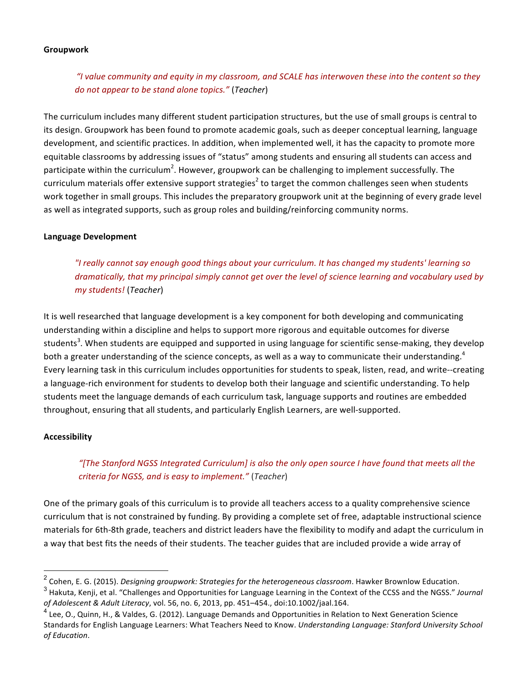### **Groupwork**

"I value community and equity in my classroom, and SCALE has interwoven these into the content so they *do not appear to be stand alone topics."* (*Teacher*)

The curriculum includes many different student participation structures, but the use of small groups is central to its design. Groupwork has been found to promote academic goals, such as deeper conceptual learning, language development, and scientific practices. In addition, when implemented well, it has the capacity to promote more equitable classrooms by addressing issues of "status" among students and ensuring all students can access and participate within the curriculum<sup>2</sup>. However, groupwork can be challenging to implement successfully. The curriculum materials offer extensive support strategies<sup>2</sup> to target the common challenges seen when students work together in small groups. This includes the preparatory groupwork unit at the beginning of every grade level as well as integrated supports, such as group roles and building/reinforcing community norms.

#### **Language Development**

*"I really cannot say enough good things about your curriculum. It has changed my students' learning so dramatically, that my principal simply cannot get over the level of science learning and vocabulary used by my students!* (*Teacher*)

It is well researched that language development is a key component for both developing and communicating understanding within a discipline and helps to support more rigorous and equitable outcomes for diverse students<sup>3</sup>. When students are equipped and supported in using language for scientific sense-making, they develop both a greater understanding of the science concepts, as well as a way to communicate their understanding.<sup>4</sup> Every learning task in this curriculum includes opportunities for students to speak, listen, read, and write--creating a language-rich environment for students to develop both their language and scientific understanding. To help students meet the language demands of each curriculum task, language supports and routines are embedded throughout, ensuring that all students, and particularly English Learners, are well-supported.

#### **Accessibility**

## "[The Stanford NGSS Integrated Curriculum] is also the only open source I have found that meets all the *criteria for NGSS, and is easy to implement."* (*Teacher*)

One of the primary goals of this curriculum is to provide all teachers access to a quality comprehensive science curriculum that is not constrained by funding. By providing a complete set of free, adaptable instructional science materials for 6th-8th grade, teachers and district leaders have the flexibility to modify and adapt the curriculum in a way that best fits the needs of their students. The teacher guides that are included provide a wide array of

<sup>&</sup>lt;sup>2</sup> Cohen, E. G. (2015). *Designing groupwork: Strategies for the heterogeneous classroom*. Hawker Brownlow Education.

 $3$  Hakuta, Kenji, et al. "Challenges and Opportunities for Language Learning in the Context of the CCSS and the NGSS." *Journal of Adolescent & Adult Literacy*, vol. 56, no. 6, 2013, pp. 451–454., doi:10.1002/jaal.164. 

 $^4$  Lee, O., Quinn, H., & Valdes, G. (2012). Language Demands and Opportunities in Relation to Next Generation Science Standards for English Language Learners: What Teachers Need to Know. *Understanding Language: Stanford University School of Education*.